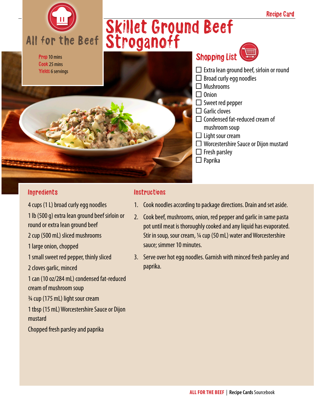

Cook 25 mins Yields 6 servings

# Skillet Ground Beef Stroganoff



#### **Ingredients**

4 cups (1 L) broad curly egg noodles 1 lb (500 g) extra lean ground beef sirloin or round or extra lean ground beef 2 cup (500 mL) sliced mushrooms 1 large onion, chopped 1 small sweet red pepper, thinly sliced 2 cloves garlic, minced 1 can (10 oz/284 mL) condensed fat-reduced cream of mushroom soup ¾ cup (175 mL) light sour cream 1 tbsp (15 mL) Worcestershire Sauce or Dijon mustard Chopped fresh parsley and paprika

#### **Instructions**

- 1. Cook noodles according to package directions. Drain and set aside.
- 2. Cook beef, mushrooms, onion, red pepper and garlic in same pasta pot until meat is thoroughly cooked and any liquid has evaporated. Stir in soup, sour cream, 1/4 cup (50 mL) water and Worcestershire sauce; simmer 10 minutes.
- 3. Serve over hot egg noodles. Garnish with minced fresh parsley and paprika.